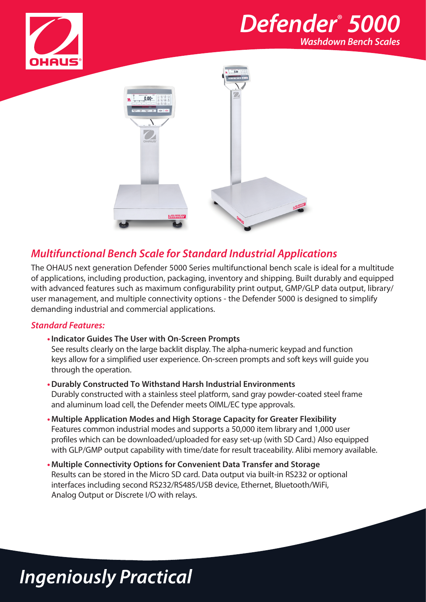

## *Defender*®  *5000 Washdown Bench Scales*



### *Multifunctional Bench Scale for Standard Industrial Applications*

The OHAUS next generation Defender 5000 Series multifunctional bench scale is ideal for a multitude of applications, including production, packaging, inventory and shipping. Built durably and equipped with advanced features such as maximum configurability print output, GMP/GLP data output, library/ user management, and multiple connectivity options - the Defender 5000 is designed to simplify demanding industrial and commercial applications.

#### *Standard Features:*

**•Indicator Guides The User with On-Screen Prompts** 

See results clearly on the large backlit display. The alpha-numeric keypad and function keys allow for a simplified user experience. On-screen prompts and soft keys will guide you through the operation.

- **•Durably Constructed To Withstand Harsh Industrial Environments** Durably constructed with a stainless steel platform, sand gray powder-coated steel frame and aluminum load cell, the Defender meets OIML/EC type approvals.
- **•Multiple Application Modes and High Storage Capacity for Greater Flexibility** Features common industrial modes and supports a 50,000 item library and 1,000 user profiles which can be downloaded/uploaded for easy set-up (with SD Card.) Also equipped with GLP/GMP output capability with time/date for result traceability. Alibi memory available.
- **•Multiple Connectivity Options for Convenient Data Transfer and Storage** Results can be stored in the Micro SD card. Data output via built-in RS232 or optional interfaces including second RS232/RS485/USB device, Ethernet, Bluetooth/WiFi, Analog Output or Discrete I/O with relays.

## **Ingeniously Practical**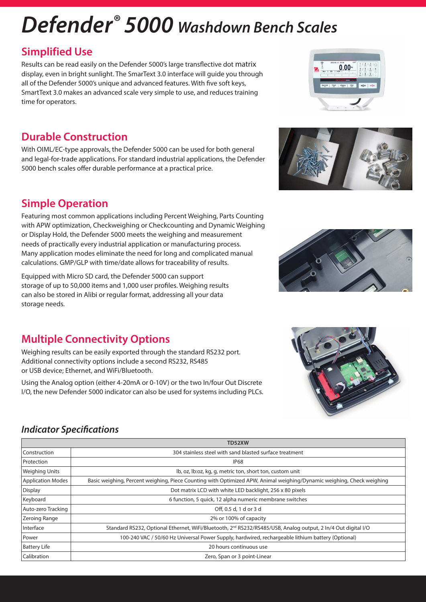# *Defender® 5000 Washdown Bench Scales*

### **Simplified Use**

Results can be read easily on the Defender 5000's large transflective dot matrix display, even in bright sunlight. The SmarText 3.0 interface will guide you through all of the Defender 5000's unique and advanced features. With five soft keys, SmartText 3.0 makes an advanced scale very simple to use, and reduces training time for operators.

### **Durable Construction**

With OIML/EC-type approvals, the Defender 5000 can be used for both general and legal-for-trade applications. For standard industrial applications, the Defender 5000 bench scales offer durable performance at a practical price.

## **Simple Operation**

Featuring most common applications including Percent Weighing, Parts Counting with APW optimization, Checkweighing or Checkcounting and Dynamic Weighing or Display Hold, the Defender 5000 meets the weighing and measurement needs of practically every industrial application or manufacturing process. Many application modes eliminate the need for long and complicated manual calculations. GMP/GLP with time/date allows for traceability of results.

Equipped with Micro SD card, the Defender 5000 can support storage of up to 50,000 items and 1,000 user profiles. Weighing results can also be stored in Alibi or regular format, addressing all your data storage needs.

## **Multiple Connectivity Options**

Weighing results can be easily exported through the standard RS232 port. Additional connectivity options include a second RS232, RS485 or USB device; Ethernet, and WiFi/Bluetooth.

Using the Analog option (either 4-20mA or 0-10V) or the two In/four Out Discrete I/O, the new Defender 5000 indicator can also be used for systems including PLCs.

#### *Indicator Specifications*

|                          | <b>TD52XW</b>                                                                                                             |
|--------------------------|---------------------------------------------------------------------------------------------------------------------------|
| Construction             | 304 stainless steel with sand blasted surface treatment                                                                   |
| Protection               | <b>IP68</b>                                                                                                               |
| Weighing Units           | lb, oz, lb: oz, kg, g, metric ton, short ton, custom unit                                                                 |
| <b>Application Modes</b> | Basic weighing, Percent weighing, Piece Counting with Optimized APW, Animal weighing/Dynamic weighing, Check weighing     |
| Display                  | Dot matrix LCD with white LED backlight, 256 x 80 pixels                                                                  |
| Keyboard                 | 6 function, 5 quick, 12 alpha numeric membrane switches                                                                   |
| Auto-zero Tracking       | Off, 0.5 d, 1 d or 3 d                                                                                                    |
| Zeroing Range            | 2% or 100% of capacity                                                                                                    |
| Interface                | Standard RS232, Optional Ethernet, WiFi/Bluetooth, 2 <sup>nd</sup> RS232/RS485/USB, Analog output, 2 ln/4 Out digital I/O |
| Power                    | 100-240 VAC / 50/60 Hz Universal Power Supply, hardwired, rechargeable lithium battery (Optional)                         |
| <b>Battery Life</b>      | 20 hours continuous use                                                                                                   |
| Calibration              | Zero, Span or 3 point-Linear                                                                                              |







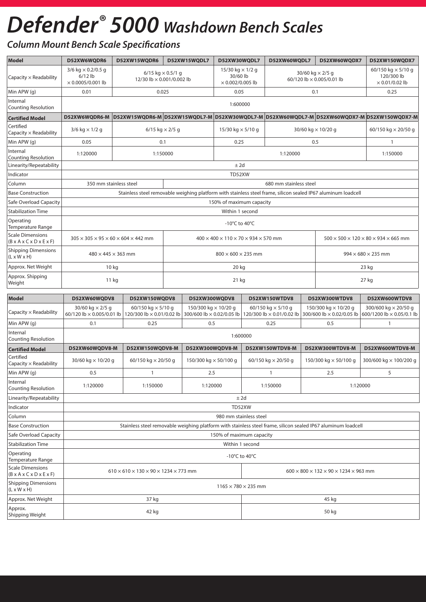## *Defender® 5000 Washdown Bench Scales*

### *Column Mount Bench Scale Specifications*

| <b>Model</b>                                                                  | D52XW6WQDR6                                                                                                   | D52XW15WQDR6                                                                                                                       | D52XW15WQDL7                                                                                                                     |                                                          | D52XW30WQDL7                                                   | D52XW60WQDL7                                           |                                                      | D52XW60WQDX7                                                                                                  | D52XW150WQDX7                                                                              |  |  |
|-------------------------------------------------------------------------------|---------------------------------------------------------------------------------------------------------------|------------------------------------------------------------------------------------------------------------------------------------|----------------------------------------------------------------------------------------------------------------------------------|----------------------------------------------------------|----------------------------------------------------------------|--------------------------------------------------------|------------------------------------------------------|---------------------------------------------------------------------------------------------------------------|--------------------------------------------------------------------------------------------|--|--|
| Capacity $\times$ Readability                                                 | $3/6$ kg $\times$ 0.2/0.5 g<br>$6/12$ lb<br>$\times$ 0.0005/0.001 lb                                          |                                                                                                                                    | 6/15 kg $\times$ 0.5/1 g<br>12/30 lb × 0.001/0.002 lb                                                                            |                                                          | 15/30 kg $\times$ 1/2 g<br>30/60 lb<br>$\times$ 0.002/0.005 lb |                                                        | 30/60 kg $\times$ 2/5 g<br>60/120 lb × 0.005/0.01 lb |                                                                                                               | 60/150 kg × 5/10 g<br>120/300 lb<br>$\times$ 0.01/0.02 lb                                  |  |  |
| Min APW (g)                                                                   | 0.01                                                                                                          |                                                                                                                                    | 0.025                                                                                                                            |                                                          | 0.05                                                           | 0.1                                                    |                                                      |                                                                                                               | 0.25                                                                                       |  |  |
| Internal<br><b>Counting Resolution</b>                                        |                                                                                                               |                                                                                                                                    |                                                                                                                                  |                                                          | 1:600000                                                       |                                                        |                                                      |                                                                                                               |                                                                                            |  |  |
| <b>Certified Model</b>                                                        | D52XW6WQDR6-M                                                                                                 |                                                                                                                                    |                                                                                                                                  |                                                          |                                                                |                                                        |                                                      |                                                                                                               | D52XW15WQDR6-M D52XW15WQDL7-M D52XW30WQDL7-M D52XW60WQDL7-M D52XW60WQDX7-M D52XW150WQDX7-M |  |  |
| Certified<br>Capacity $\times$ Readability                                    | $3/6$ kg $\times$ 1/2 g                                                                                       |                                                                                                                                    | 6/15 kg $\times$ 2/5 g                                                                                                           |                                                          | 15/30 kg $\times$ 5/10 g                                       |                                                        |                                                      | 30/60 kg × 10/20 g                                                                                            | 60/150 kg $\times$ 20/50 g                                                                 |  |  |
| Min APW (g)                                                                   | 0.05                                                                                                          |                                                                                                                                    | 0.1                                                                                                                              |                                                          | 0.25                                                           |                                                        |                                                      | 0.5<br>$\mathbf{1}$                                                                                           |                                                                                            |  |  |
| Internal<br><b>Counting Resolution</b>                                        | 1:120000                                                                                                      | 1:150000                                                                                                                           |                                                                                                                                  |                                                          |                                                                | 1:120000                                               |                                                      | 1:150000                                                                                                      |                                                                                            |  |  |
| Linearity/Repeatability                                                       |                                                                                                               |                                                                                                                                    |                                                                                                                                  |                                                          | $±$ 2d                                                         |                                                        |                                                      |                                                                                                               |                                                                                            |  |  |
| Indicator                                                                     |                                                                                                               |                                                                                                                                    |                                                                                                                                  |                                                          | TD52XW                                                         |                                                        |                                                      |                                                                                                               |                                                                                            |  |  |
| Column                                                                        | 350 mm stainless steel                                                                                        |                                                                                                                                    |                                                                                                                                  |                                                          |                                                                | 680 mm stainless steel                                 |                                                      |                                                                                                               |                                                                                            |  |  |
| <b>Base Construction</b>                                                      |                                                                                                               |                                                                                                                                    |                                                                                                                                  |                                                          |                                                                |                                                        |                                                      | Stainless steel removable weighing platform with stainless steel frame, silicon sealed IP67 aluminum loadcell |                                                                                            |  |  |
| Safe Overload Capacity                                                        |                                                                                                               | 150% of maximum capacity                                                                                                           |                                                                                                                                  |                                                          |                                                                |                                                        |                                                      |                                                                                                               |                                                                                            |  |  |
| <b>Stabilization Time</b>                                                     |                                                                                                               | Within 1 second                                                                                                                    |                                                                                                                                  |                                                          |                                                                |                                                        |                                                      |                                                                                                               |                                                                                            |  |  |
| Operating<br>Temperature Range                                                | -10 $^{\circ}$ C to 40 $^{\circ}$ C                                                                           |                                                                                                                                    |                                                                                                                                  |                                                          |                                                                |                                                        |                                                      |                                                                                                               |                                                                                            |  |  |
| <b>Scale Dimensions</b><br>$(B \times A \times C \times D \times E \times F)$ | $305 \times 305 \times 95 \times 60 \times 604 \times 442$ mm                                                 |                                                                                                                                    | $500 \times 500 \times 120 \times 80 \times 934 \times 665$ mm<br>$400 \times 400 \times 110 \times 70 \times 934 \times 570$ mm |                                                          |                                                                |                                                        |                                                      |                                                                                                               |                                                                                            |  |  |
| <b>Shipping Dimensions</b><br>$(L \times W \times H)$                         |                                                                                                               | $480 \times 445 \times 363$ mm<br>$800 \times 600 \times 235$ mm                                                                   |                                                                                                                                  |                                                          |                                                                |                                                        |                                                      | $994 \times 680 \times 235$ mm                                                                                |                                                                                            |  |  |
| Approx. Net Weight                                                            | 10 kg                                                                                                         |                                                                                                                                    | 20 kg<br>23 kg                                                                                                                   |                                                          |                                                                |                                                        |                                                      |                                                                                                               |                                                                                            |  |  |
| Approx. Shipping<br>Weight                                                    | 11 kg                                                                                                         | 21 kg                                                                                                                              |                                                                                                                                  |                                                          |                                                                |                                                        |                                                      | 27 kg                                                                                                         |                                                                                            |  |  |
| <b>Model</b>                                                                  | D52XW60WQDV8                                                                                                  | D52XW150WQDV8                                                                                                                      |                                                                                                                                  | D52XW300WQDV8                                            |                                                                | D52XW150WTDV8                                          |                                                      | D52XW300WTDV8                                                                                                 | D52XW600WTDV8                                                                              |  |  |
| Capacity × Readability                                                        | 30/60 kg $\times$ 2/5 g<br>60/120 lb × 0.005/0.01 lb                                                          | 60/150 kg $\times$ 5/10 g<br>120/300 lb $\times$ 0.01/0.02 lb                                                                      |                                                                                                                                  | 150/300 kg $\times$ 10/20 g<br>300/600 lb × 0.02/0.05 lb |                                                                | 60/150 kg $\times$ 5/10 g<br>120/300 lb × 0.01/0.02 lb |                                                      | 150/300 kg $\times$ 10/20 g<br>300/600 lb × 0.02/0.05 lb                                                      | 300/600 kg $\times$ 20/50 g<br>600/1200 lb × 0.05/0.1 lb                                   |  |  |
| Min APW (g)                                                                   | 0.1                                                                                                           | 0.25                                                                                                                               |                                                                                                                                  | 0.5                                                      |                                                                | 0.25                                                   |                                                      | 0.5                                                                                                           | 1                                                                                          |  |  |
| Internal<br>Counting Resolution                                               |                                                                                                               | 1:600000                                                                                                                           |                                                                                                                                  |                                                          |                                                                |                                                        |                                                      |                                                                                                               |                                                                                            |  |  |
| <b>Certified Model</b>                                                        | D52XW60WQDV8-M                                                                                                | D52XW150WQDV8-M                                                                                                                    |                                                                                                                                  | D52XW300WQDV8-M                                          |                                                                | D52XW150WTDV8-M                                        |                                                      | D52XW300WTDV8-M                                                                                               | D52XW600WTDV8-M                                                                            |  |  |
| Certified<br>Capacity $\times$ Readability                                    | 30/60 kg $\times$ 10/20 g                                                                                     | 60/150 kg $\times$ 20/50 g                                                                                                         |                                                                                                                                  | 150/300 kg × 50/100 g                                    |                                                                | 60/150 kg $\times$ 20/50 g                             | 150/300 kg × 50/100 g                                |                                                                                                               | 300/600 kg × 100/200 g                                                                     |  |  |
| Min APW (g)                                                                   | 0.5                                                                                                           | 1                                                                                                                                  |                                                                                                                                  | 2.5                                                      |                                                                | 1                                                      | 2.5                                                  |                                                                                                               | 5                                                                                          |  |  |
| Internal<br><b>Counting Resolution</b>                                        | 1:120000                                                                                                      | 1:150000                                                                                                                           |                                                                                                                                  | 1:120000                                                 |                                                                | 1:150000                                               |                                                      | 1:120000                                                                                                      |                                                                                            |  |  |
| Linearity/Repeatability                                                       |                                                                                                               |                                                                                                                                    |                                                                                                                                  |                                                          | $±$ 2d                                                         |                                                        |                                                      |                                                                                                               |                                                                                            |  |  |
| Indicator                                                                     |                                                                                                               |                                                                                                                                    |                                                                                                                                  |                                                          | TD52XW                                                         |                                                        |                                                      |                                                                                                               |                                                                                            |  |  |
| Column                                                                        |                                                                                                               |                                                                                                                                    |                                                                                                                                  |                                                          | 980 mm stainless steel                                         |                                                        |                                                      |                                                                                                               |                                                                                            |  |  |
| <b>Base Construction</b>                                                      | Stainless steel removable weighing platform with stainless steel frame, silicon sealed IP67 aluminum loadcell |                                                                                                                                    |                                                                                                                                  |                                                          |                                                                |                                                        |                                                      |                                                                                                               |                                                                                            |  |  |
| Safe Overload Capacity                                                        | 150% of maximum capacity                                                                                      |                                                                                                                                    |                                                                                                                                  |                                                          |                                                                |                                                        |                                                      |                                                                                                               |                                                                                            |  |  |
| <b>Stabilization Time</b>                                                     |                                                                                                               |                                                                                                                                    |                                                                                                                                  |                                                          | Within 1 second                                                |                                                        |                                                      |                                                                                                               |                                                                                            |  |  |
| Operating<br>Temperature Range                                                |                                                                                                               |                                                                                                                                    |                                                                                                                                  |                                                          | -10 $^{\circ}$ C to 40 $^{\circ}$ C                            |                                                        |                                                      |                                                                                                               |                                                                                            |  |  |
| <b>Scale Dimensions</b><br>$(B \times A \times C \times D \times E \times F)$ |                                                                                                               | $610 \times 610 \times 130 \times 90 \times 1234 \times 773$ mm<br>$600 \times 800 \times 132 \times 90 \times 1234 \times 963$ mm |                                                                                                                                  |                                                          |                                                                |                                                        |                                                      |                                                                                                               |                                                                                            |  |  |
| <b>Shipping Dimensions</b><br>(L x W x H)                                     |                                                                                                               | $1165 \times 780 \times 235$ mm                                                                                                    |                                                                                                                                  |                                                          |                                                                |                                                        |                                                      |                                                                                                               |                                                                                            |  |  |
| Approx. Net Weight                                                            |                                                                                                               | 37 kg                                                                                                                              |                                                                                                                                  |                                                          |                                                                |                                                        |                                                      | 45 kg                                                                                                         |                                                                                            |  |  |
| Approx.<br>Shipping Weight                                                    | 42 kg<br>50 kg                                                                                                |                                                                                                                                    |                                                                                                                                  |                                                          |                                                                |                                                        |                                                      |                                                                                                               |                                                                                            |  |  |